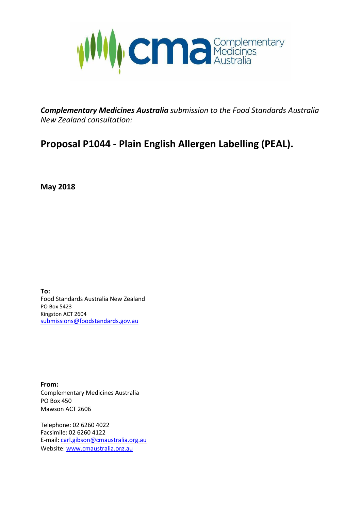

*Complementary Medicines Australia submission to the Food Standards Australia New Zealand consultation:*

# **Proposal P1044 - Plain English Allergen Labelling (PEAL).**

**May 2018**

**To:** Food Standards Australia New Zealand PO Box 5423 Kingston ACT 2604 [submissions@foodstandards.gov.au](mailto:submissions@foodstandards.gov.au)

**From:** Complementary Medicines Australia PO Box 450 Mawson ACT 2606

Telephone: 02 6260 4022 Facsimile: 02 6260 4122 E-mail: [carl.gibson@cmaustralia.org.au](mailto:carl.gibson@cmaustralia.org.au) Website[: www.cmaustralia.org.au](http://www.cmaustralia.org.au/)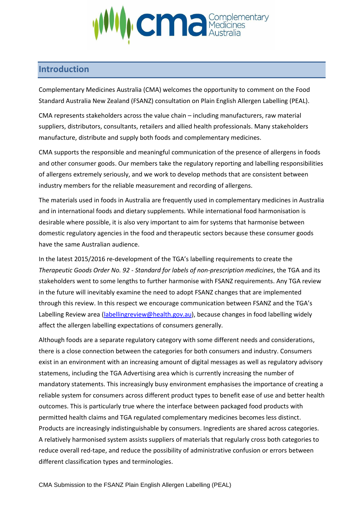

### **Introduction**

Complementary Medicines Australia (CMA) welcomes the opportunity to comment on the Food Standard Australia New Zealand (FSANZ) consultation on Plain English Allergen Labelling (PEAL).

CMA represents stakeholders across the value chain – including manufacturers, raw material suppliers, distributors, consultants, retailers and allied health professionals. Many stakeholders manufacture, distribute and supply both foods and complementary medicines.

CMA supports the responsible and meaningful communication of the presence of allergens in foods and other consumer goods. Our members take the regulatory reporting and labelling responsibilities of allergens extremely seriously, and we work to develop methods that are consistent between industry members for the reliable measurement and recording of allergens.

The materials used in foods in Australia are frequently used in complementary medicines in Australia and in international foods and dietary supplements. While international food harmonisation is desirable where possible, it is also very important to aim for systems that harmonise between domestic regulatory agencies in the food and therapeutic sectors because these consumer goods have the same Australian audience.

In the latest 2015/2016 re-development of the TGA's labelling requirements to create the *Therapeutic Goods Order No. 92 - Standard for labels of non-prescription medicines*, the TGA and its stakeholders went to some lengths to further harmonise with FSANZ requirements. Any TGA review in the future will inevitably examine the need to adopt FSANZ changes that are implemented through this review. In this respect we encourage communication between FSANZ and the TGA's Labelling Review area [\(labellingreview@health.gov.au\)](mailto:labellingreview@health.gov.au), because changes in food labelling widely affect the allergen labelling expectations of consumers generally.

Although foods are a separate regulatory category with some different needs and considerations, there is a close connection between the categories for both consumers and industry. Consumers exist in an environment with an increasing amount of digital messages as well as regulatory advisory statemens, including the TGA Advertising area which is currently increasing the number of mandatory statements. This increasingly busy environment emphasises the importance of creating a reliable system for consumers across different product types to benefit ease of use and better health outcomes. This is particularly true where the interface between packaged food products with permitted health claims and TGA regulated complementary medicines becomes less distinct. Products are increasingly indistinguishable by consumers. Ingredients are shared across categories. A relatively harmonised system assists suppliers of materials that regularly cross both categories to reduce overall red-tape, and reduce the possibility of administrative confusion or errors between different classification types and terminologies.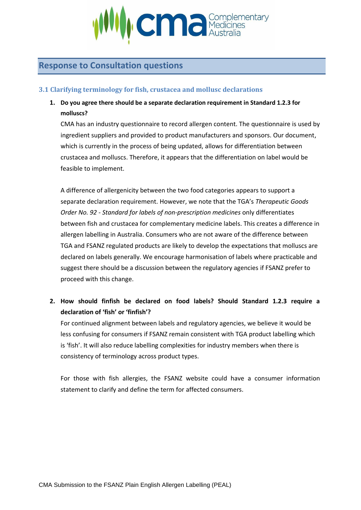

# **Response to Consultation questions**

#### **3.1 Clarifying terminology for fish, crustacea and mollusc declarations**

**1. Do you agree there should be a separate declaration requirement in Standard 1.2.3 for molluscs?**

CMA has an industry questionnaire to record allergen content. The questionnaire is used by ingredient suppliers and provided to product manufacturers and sponsors. Our document, which is currently in the process of being updated, allows for differentiation between crustacea and molluscs. Therefore, it appears that the differentiation on label would be feasible to implement.

A difference of allergenicity between the two food categories appears to support a separate declaration requirement. However, we note that the TGA's *Therapeutic Goods Order No. 92 - Standard for labels of non-prescription medicines* only differentiates between fish and crustacea for complementary medicine labels. This creates a difference in allergen labelling in Australia. Consumers who are not aware of the difference between TGA and FSANZ regulated products are likely to develop the expectations that molluscs are declared on labels generally. We encourage harmonisation of labels where practicable and suggest there should be a discussion between the regulatory agencies if FSANZ prefer to proceed with this change.

**2. How should finfish be declared on food labels? Should Standard 1.2.3 require a declaration of 'fish' or 'finfish'?**

For continued alignment between labels and regulatory agencies, we believe it would be less confusing for consumers if FSANZ remain consistent with TGA product labelling which is 'fish'. It will also reduce labelling complexities for industry members when there is consistency of terminology across product types.

For those with fish allergies, the FSANZ website could have a consumer information statement to clarify and define the term for affected consumers.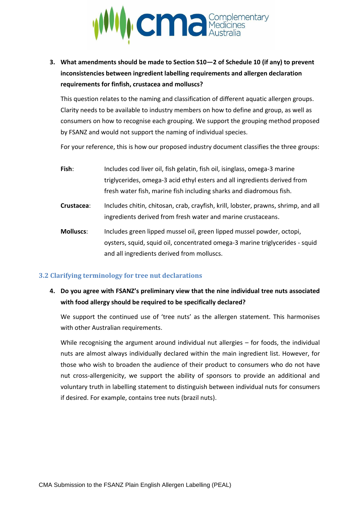

**3. What amendments should be made to Section S10—2 of Schedule 10 (if any) to prevent inconsistencies between ingredient labelling requirements and allergen declaration requirements for finfish, crustacea and molluscs?**

This question relates to the naming and classification of different aquatic allergen groups. Clarity needs to be available to industry members on how to define and group, as well as consumers on how to recognise each grouping. We support the grouping method proposed by FSANZ and would not support the naming of individual species.

For your reference, this is how our proposed industry document classifies the three groups:

- **Fish**: Includes cod liver oil, fish gelatin, fish oil, isinglass, omega-3 marine triglycerides, omega-3 acid ethyl esters and all ingredients derived from fresh water fish, marine fish including sharks and diadromous fish.
- **Crustacea**: Includes chitin, chitosan, crab, crayfish, krill, lobster, prawns, shrimp, and all ingredients derived from fresh water and marine crustaceans.
- **Molluscs**: Includes green lipped mussel oil, green lipped mussel powder, octopi, oysters, squid, squid oil, concentrated omega-3 marine triglycerides - squid and all ingredients derived from molluscs.

#### **3.2 Clarifying terminology for tree nut declarations**

**4. Do you agree with FSANZ's preliminary view that the nine individual tree nuts associated with food allergy should be required to be specifically declared?**

We support the continued use of 'tree nuts' as the allergen statement. This harmonises with other Australian requirements.

While recognising the argument around individual nut allergies – for foods, the individual nuts are almost always individually declared within the main ingredient list. However, for those who wish to broaden the audience of their product to consumers who do not have nut cross-allergenicity, we support the ability of sponsors to provide an additional and voluntary truth in labelling statement to distinguish between individual nuts for consumers if desired. For example, contains tree nuts (brazil nuts).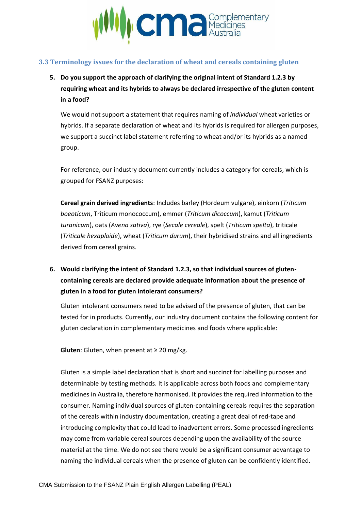

#### **3.3 Terminology issues for the declaration of wheat and cereals containing gluten**

**5. Do you support the approach of clarifying the original intent of Standard 1.2.3 by requiring wheat and its hybrids to always be declared irrespective of the gluten content in a food?**

We would not support a statement that requires naming of *individual* wheat varieties or hybrids. If a separate declaration of wheat and its hybrids is required for allergen purposes, we support a succinct label statement referring to wheat and/or its hybrids as a named group.

For reference, our industry document currently includes a category for cereals, which is grouped for FSANZ purposes:

**Cereal grain derived ingredients**: Includes barley (Hordeum vulgare), einkorn (*Triticum boeoticum*, Triticum monococcum), emmer (*Triticum dicoccum*), kamut (*Triticum turanicum*), oats (*Avena sativa*), rye (*Secale cereale*), spelt (*Triticum spelta*), triticale (*Triticale hexaploide*), wheat (*Triticum durum*), their hybridised strains and all ingredients derived from cereal grains.

# **6. Would clarifying the intent of Standard 1.2.3, so that individual sources of glutencontaining cereals are declared provide adequate information about the presence of gluten in a food for gluten intolerant consumers?**

Gluten intolerant consumers need to be advised of the presence of gluten, that can be tested for in products. Currently, our industry document contains the following content for gluten declaration in complementary medicines and foods where applicable:

**Gluten**: Gluten, when present at  $\geq 20$  mg/kg.

Gluten is a simple label declaration that is short and succinct for labelling purposes and determinable by testing methods. It is applicable across both foods and complementary medicines in Australia, therefore harmonised. It provides the required information to the consumer. Naming individual sources of gluten-containing cereals requires the separation of the cereals within industry documentation, creating a great deal of red-tape and introducing complexity that could lead to inadvertent errors. Some processed ingredients may come from variable cereal sources depending upon the availability of the source material at the time. We do not see there would be a significant consumer advantage to naming the individual cereals when the presence of gluten can be confidently identified.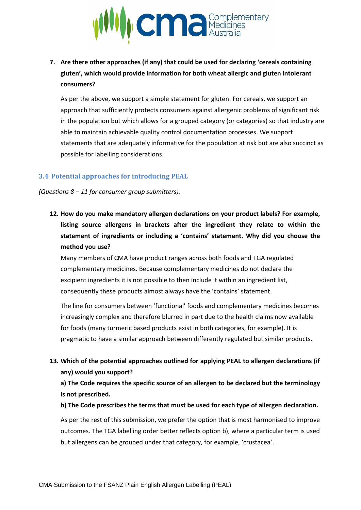

**7. Are there other approaches (if any) that could be used for declaring 'cereals containing gluten', which would provide information for both wheat allergic and gluten intolerant consumers?**

As per the above, we support a simple statement for gluten. For cereals, we support an approach that sufficiently protects consumers against allergenic problems of significant risk in the population but which allows for a grouped category (or categories) so that industry are able to maintain achievable quality control documentation processes. We support statements that are adequately informative for the population at risk but are also succinct as possible for labelling considerations.

#### **3.4 Potential approaches for introducing PEAL**

*(Questions 8 – 11 for consumer group submitters).*

**12. How do you make mandatory allergen declarations on your product labels? For example, listing source allergens in brackets after the ingredient they relate to within the statement of ingredients or including a 'contains' statement. Why did you choose the method you use?**

Many members of CMA have product ranges across both foods and TGA regulated complementary medicines. Because complementary medicines do not declare the excipient ingredients it is not possible to then include it within an ingredient list, consequently these products almost always have the 'contains' statement.

The line for consumers between 'functional' foods and complementary medicines becomes increasingly complex and therefore blurred in part due to the health claims now available for foods (many turmeric based products exist in both categories, for example). It is pragmatic to have a similar approach between differently regulated but similar products.

**13. Which of the potential approaches outlined for applying PEAL to allergen declarations (if any) would you support?**

**a) The Code requires the specific source of an allergen to be declared but the terminology is not prescribed.**

**b) The Code prescribes the terms that must be used for each type of allergen declaration.** 

As per the rest of this submission, we prefer the option that is most harmonised to improve outcomes. The TGA labelling order better reflects option b), where a particular term is used but allergens can be grouped under that category, for example, 'crustacea'.